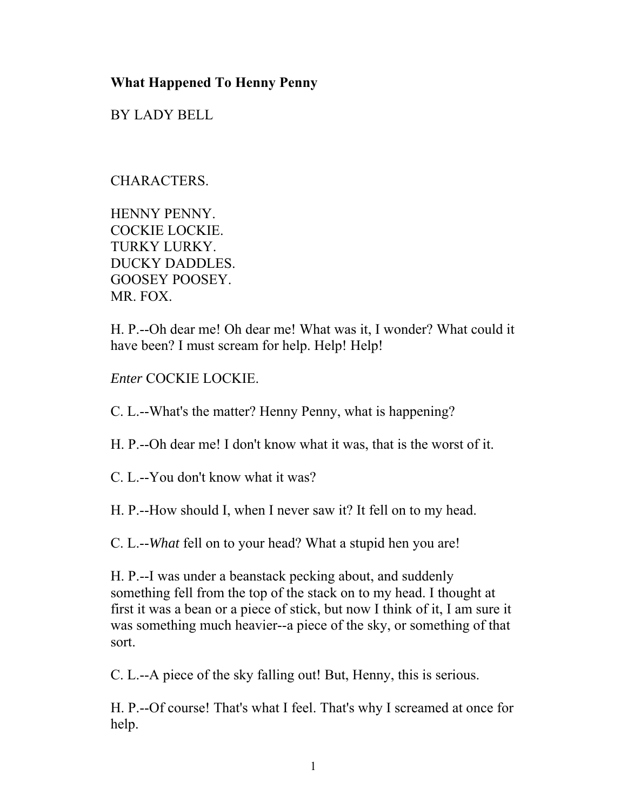## **What Happened To Henny Penny**

BY LADY BELL

## CHARACTERS.

HENNY PENNY. COCKIE LOCKIE. TURKY LURKY. DUCKY DADDLES. GOOSEY POOSEY. MR. FOX.

H. P.--Oh dear me! Oh dear me! What was it, I wonder? What could it have been? I must scream for help. Help! Help!

*Enter* COCKIE LOCKIE.

C. L.--What's the matter? Henny Penny, what is happening?

H. P.--Oh dear me! I don't know what it was, that is the worst of it.

C. L.--You don't know what it was?

H. P.--How should I, when I never saw it? It fell on to my head.

C. L.--*What* fell on to your head? What a stupid hen you are!

H. P.--I was under a beanstack pecking about, and suddenly something fell from the top of the stack on to my head. I thought at first it was a bean or a piece of stick, but now I think of it, I am sure it was something much heavier--a piece of the sky, or something of that sort.

C. L.--A piece of the sky falling out! But, Henny, this is serious.

H. P.--Of course! That's what I feel. That's why I screamed at once for help.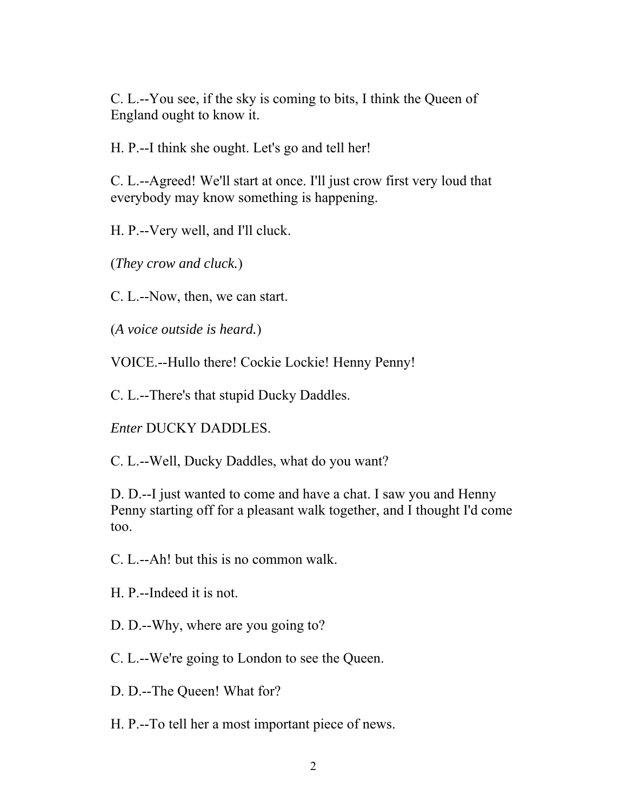C. L.--You see, if the sky is coming to bits, I think the Queen of England ought to know it.

H. P.--I think she ought. Let's go and tell her!

C. L.--Agreed! We'll start at once. I'll just crow first very loud that everybody may know something is happening.

H. P.--Very well, and I'll cluck.

(*They crow and cluck.*)

C. L.--Now, then, we can start.

(*A voice outside is heard.*)

VOICE.--Hullo there! Cockie Lockie! Henny Penny!

C. L.--There's that stupid Ducky Daddles.

*Enter* DUCKY DADDLES.

C. L.--Well, Ducky Daddles, what do you want?

D. D.--I just wanted to come and have a chat. I saw you and Henny Penny starting off for a pleasant walk together, and I thought I'd come too.

C. L.--Ah! but this is no common walk.

H. P.--Indeed it is not.

D. D.--Why, where are you going to?

C. L.--We're going to London to see the Queen.

D. D.--The Queen! What for?

H. P.--To tell her a most important piece of news.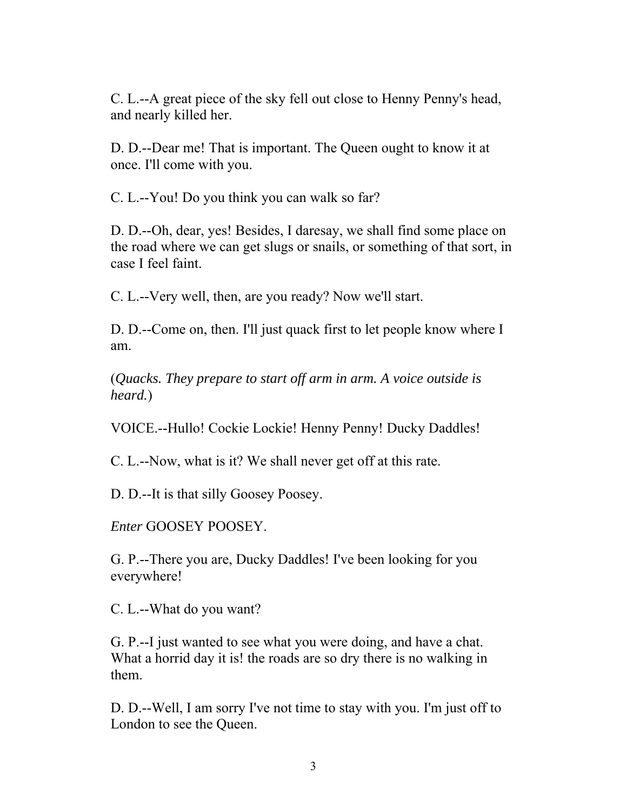C. L.--A great piece of the sky fell out close to Henny Penny's head, and nearly killed her.

D. D.--Dear me! That is important. The Queen ought to know it at once. I'll come with you.

C. L.--You! Do you think you can walk so far?

D. D.--Oh, dear, yes! Besides, I daresay, we shall find some place on the road where we can get slugs or snails, or something of that sort, in case I feel faint.

C. L.--Very well, then, are you ready? Now we'll start.

D. D.--Come on, then. I'll just quack first to let people know where I am.

(*Quacks. They prepare to start off arm in arm. A voice outside is heard.*)

VOICE.--Hullo! Cockie Lockie! Henny Penny! Ducky Daddles!

C. L.--Now, what is it? We shall never get off at this rate.

D. D.--It is that silly Goosey Poosey.

*Enter* GOOSEY POOSEY.

G. P.--There you are, Ducky Daddles! I've been looking for you everywhere!

C. L.--What do you want?

G. P.--I just wanted to see what you were doing, and have a chat. What a horrid day it is! the roads are so dry there is no walking in them.

D. D.--Well, I am sorry I've not time to stay with you. I'm just off to London to see the Queen.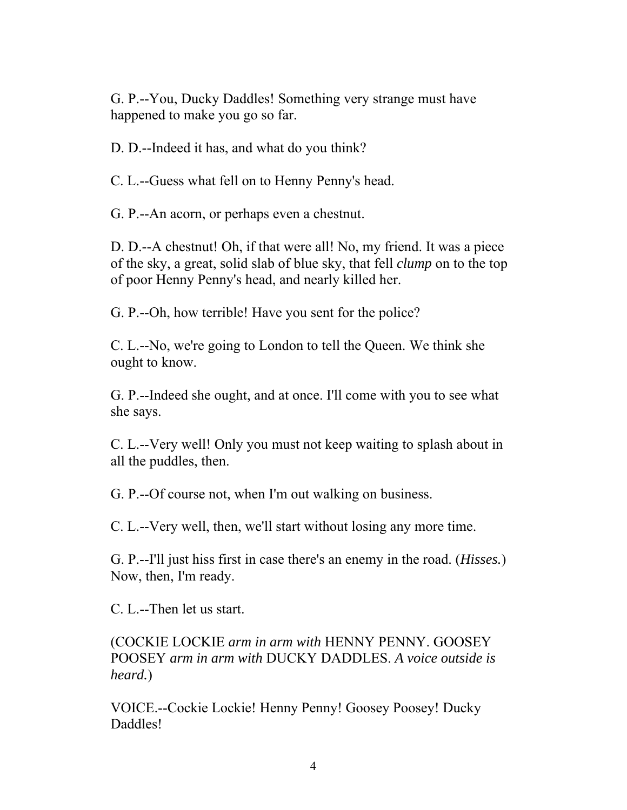G. P.--You, Ducky Daddles! Something very strange must have happened to make you go so far.

D. D.--Indeed it has, and what do you think?

C. L.--Guess what fell on to Henny Penny's head.

G. P.--An acorn, or perhaps even a chestnut.

D. D.--A chestnut! Oh, if that were all! No, my friend. It was a piece of the sky, a great, solid slab of blue sky, that fell *clump* on to the top of poor Henny Penny's head, and nearly killed her.

G. P.--Oh, how terrible! Have you sent for the police?

C. L.--No, we're going to London to tell the Queen. We think she ought to know.

G. P.--Indeed she ought, and at once. I'll come with you to see what she says.

C. L.--Very well! Only you must not keep waiting to splash about in all the puddles, then.

G. P.--Of course not, when I'm out walking on business.

C. L.--Very well, then, we'll start without losing any more time.

G. P.--I'll just hiss first in case there's an enemy in the road. (*Hisses.*) Now, then, I'm ready.

C. L.--Then let us start.

(COCKIE LOCKIE *arm in arm with* HENNY PENNY. GOOSEY POOSEY *arm in arm with* DUCKY DADDLES. *A voice outside is heard.*)

VOICE.--Cockie Lockie! Henny Penny! Goosey Poosey! Ducky Daddles!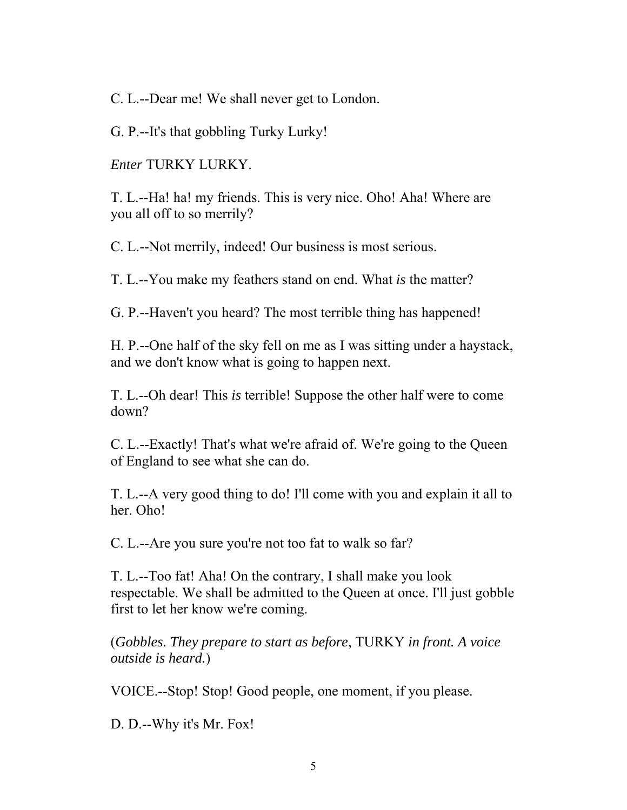C. L.--Dear me! We shall never get to London.

G. P.--It's that gobbling Turky Lurky!

*Enter* TURKY LURKY.

T. L.--Ha! ha! my friends. This is very nice. Oho! Aha! Where are you all off to so merrily?

C. L.--Not merrily, indeed! Our business is most serious.

T. L.--You make my feathers stand on end. What *is* the matter?

G. P.--Haven't you heard? The most terrible thing has happened!

H. P.--One half of the sky fell on me as I was sitting under a haystack, and we don't know what is going to happen next.

T. L.--Oh dear! This *is* terrible! Suppose the other half were to come down?

C. L.--Exactly! That's what we're afraid of. We're going to the Queen of England to see what she can do.

T. L.--A very good thing to do! I'll come with you and explain it all to her. Oho!

C. L.--Are you sure you're not too fat to walk so far?

T. L.--Too fat! Aha! On the contrary, I shall make you look respectable. We shall be admitted to the Queen at once. I'll just gobble first to let her know we're coming.

(*Gobbles. They prepare to start as before*, TURKY *in front. A voice outside is heard.*)

VOICE.--Stop! Stop! Good people, one moment, if you please.

D. D.--Why it's Mr. Fox!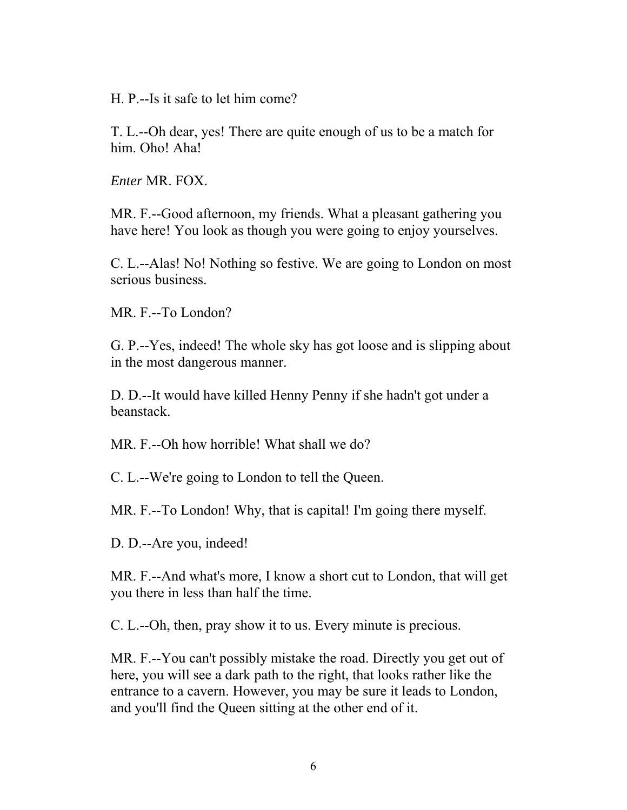H. P.--Is it safe to let him come?

T. L.--Oh dear, yes! There are quite enough of us to be a match for him. Oho! Aha!

*Enter* MR. FOX.

MR. F.--Good afternoon, my friends. What a pleasant gathering you have here! You look as though you were going to enjoy yourselves.

C. L.--Alas! No! Nothing so festive. We are going to London on most serious business.

MR. F.--To London?

G. P.--Yes, indeed! The whole sky has got loose and is slipping about in the most dangerous manner.

D. D.--It would have killed Henny Penny if she hadn't got under a beanstack.

MR. F.--Oh how horrible! What shall we do?

C. L.--We're going to London to tell the Queen.

MR. F.--To London! Why, that is capital! I'm going there myself.

D. D.--Are you, indeed!

MR. F.--And what's more, I know a short cut to London, that will get you there in less than half the time.

C. L.--Oh, then, pray show it to us. Every minute is precious.

MR. F.--You can't possibly mistake the road. Directly you get out of here, you will see a dark path to the right, that looks rather like the entrance to a cavern. However, you may be sure it leads to London, and you'll find the Queen sitting at the other end of it.